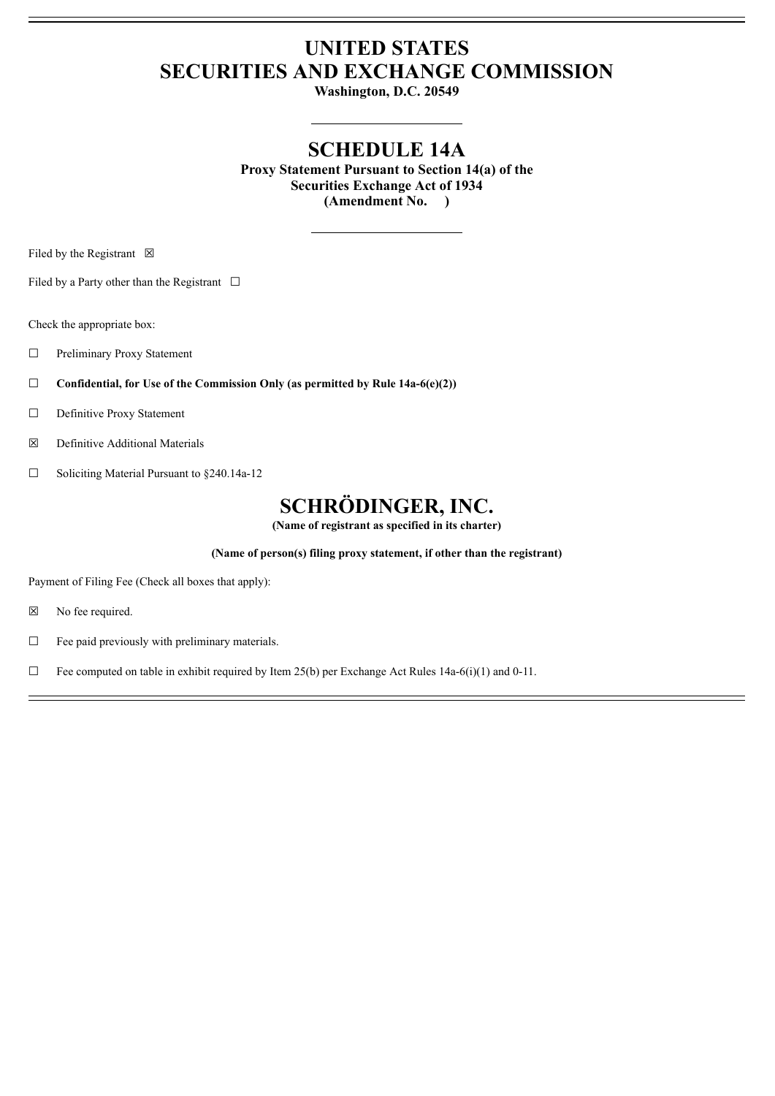# **UNITED STATES SECURITIES AND EXCHANGE COMMISSION**

**Washington, D.C. 20549**

## **SCHEDULE 14A**

**Proxy Statement Pursuant to Section 14(a) of the Securities Exchange Act of 1934 (Amendment No. )**

Filed by the Registrant  $\boxtimes$ 

Filed by a Party other than the Registrant  $\Box$ 

Check the appropriate box:

- ☐ Preliminary Proxy Statement
- ☐ **Confidential, for Use of the Commission Only (as permitted by Rule 14a-6(e)(2))**
- ☐ Definitive Proxy Statement
- ☒ Definitive Additional Materials
- ☐ Soliciting Material Pursuant to §240.14a-12

## **SCHRÖDINGER, INC.**

**(Name of registrant as specified in its charter)**

**(Name of person(s) filing proxy statement, if other than the registrant)**

Payment of Filing Fee (Check all boxes that apply):

- ☒ No fee required.
- ☐ Fee paid previously with preliminary materials.

 $\Box$  Fee computed on table in exhibit required by Item 25(b) per Exchange Act Rules 14a-6(i)(1) and 0-11.